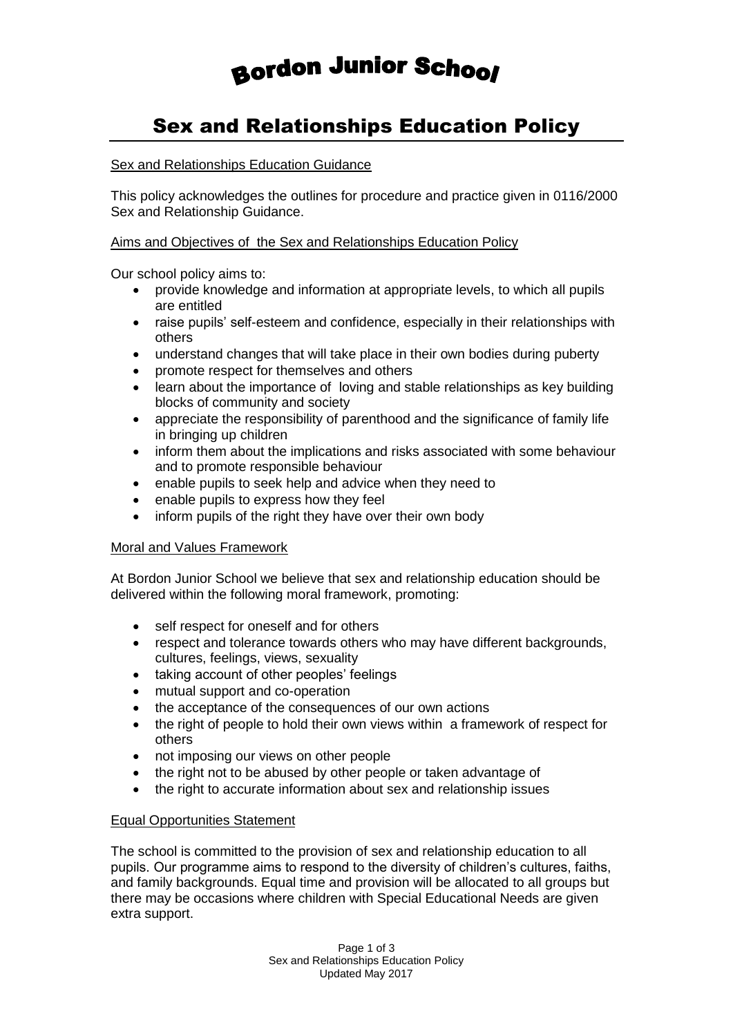# **Bordon Junior School**

# Sex and Relationships Education Policy

# Sex and Relationships Education Guidance

This policy acknowledges the outlines for procedure and practice given in 0116/2000 Sex and Relationship Guidance.

# Aims and Objectives of the Sex and Relationships Education Policy

Our school policy aims to:

- provide knowledge and information at appropriate levels, to which all pupils are entitled
- raise pupils' self-esteem and confidence, especially in their relationships with others
- understand changes that will take place in their own bodies during puberty
- promote respect for themselves and others
- learn about the importance of loving and stable relationships as key building blocks of community and society
- appreciate the responsibility of parenthood and the significance of family life in bringing up children
- inform them about the implications and risks associated with some behaviour and to promote responsible behaviour
- enable pupils to seek help and advice when they need to
- enable pupils to express how they feel
- inform pupils of the right they have over their own body

#### Moral and Values Framework

At Bordon Junior School we believe that sex and relationship education should be delivered within the following moral framework, promoting:

- self respect for oneself and for others
- respect and tolerance towards others who may have different backgrounds, cultures, feelings, views, sexuality
- taking account of other peoples' feelings
- mutual support and co-operation
- the acceptance of the consequences of our own actions
- the right of people to hold their own views within a framework of respect for others
- not imposing our views on other people
- the right not to be abused by other people or taken advantage of
- the right to accurate information about sex and relationship issues

#### Equal Opportunities Statement

The school is committed to the provision of sex and relationship education to all pupils. Our programme aims to respond to the diversity of children's cultures, faiths, and family backgrounds. Equal time and provision will be allocated to all groups but there may be occasions where children with Special Educational Needs are given extra support.

> Page 1 of 3 Sex and Relationships Education Policy Updated May 2017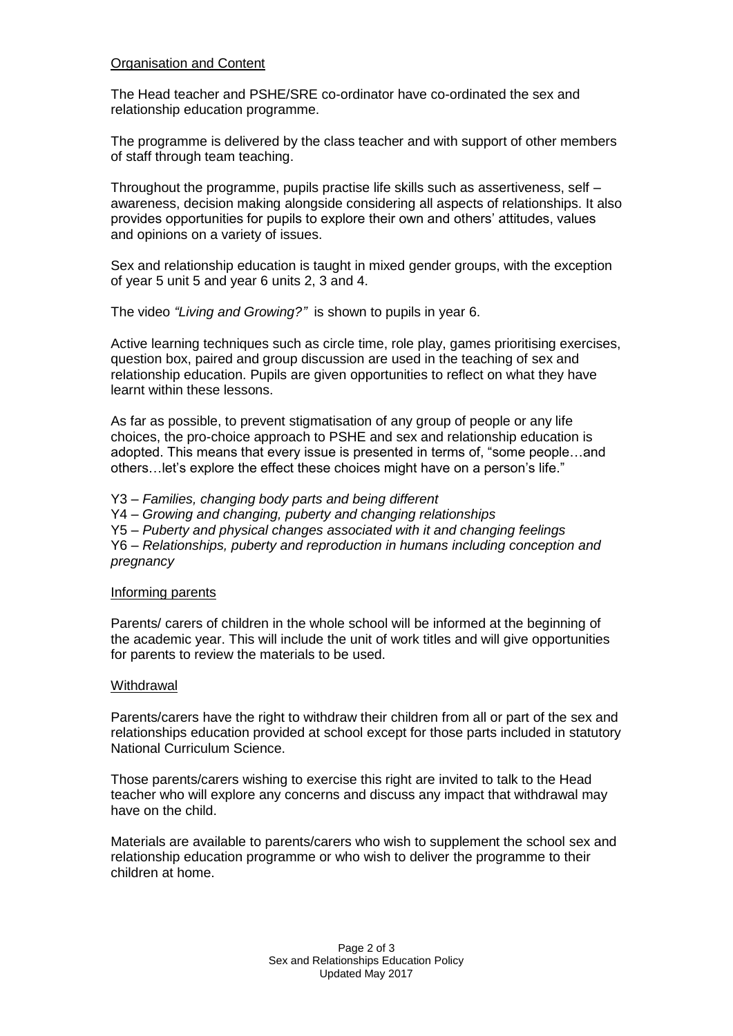# Organisation and Content

The Head teacher and PSHE/SRE co-ordinator have co-ordinated the sex and relationship education programme.

The programme is delivered by the class teacher and with support of other members of staff through team teaching.

Throughout the programme, pupils practise life skills such as assertiveness, self – awareness, decision making alongside considering all aspects of relationships. It also provides opportunities for pupils to explore their own and others' attitudes, values and opinions on a variety of issues.

Sex and relationship education is taught in mixed gender groups, with the exception of year 5 unit 5 and year 6 units 2, 3 and 4.

The video *"Living and Growing?"* is shown to pupils in year 6.

Active learning techniques such as circle time, role play, games prioritising exercises, question box, paired and group discussion are used in the teaching of sex and relationship education. Pupils are given opportunities to reflect on what they have learnt within these lessons.

As far as possible, to prevent stigmatisation of any group of people or any life choices, the pro-choice approach to PSHE and sex and relationship education is adopted. This means that every issue is presented in terms of, "some people…and others…let's explore the effect these choices might have on a person's life."

Y3 – *Families, changing body parts and being different*

Y4 – *Growing and changing, puberty and changing relationships*

Y5 – *Puberty and physical changes associated with it and changing feelings*

Y6 – *Relationships, puberty and reproduction in humans including conception and pregnancy*

#### Informing parents

Parents/ carers of children in the whole school will be informed at the beginning of the academic year. This will include the unit of work titles and will give opportunities for parents to review the materials to be used.

#### **Withdrawal**

Parents/carers have the right to withdraw their children from all or part of the sex and relationships education provided at school except for those parts included in statutory National Curriculum Science.

Those parents/carers wishing to exercise this right are invited to talk to the Head teacher who will explore any concerns and discuss any impact that withdrawal may have on the child.

Materials are available to parents/carers who wish to supplement the school sex and relationship education programme or who wish to deliver the programme to their children at home.